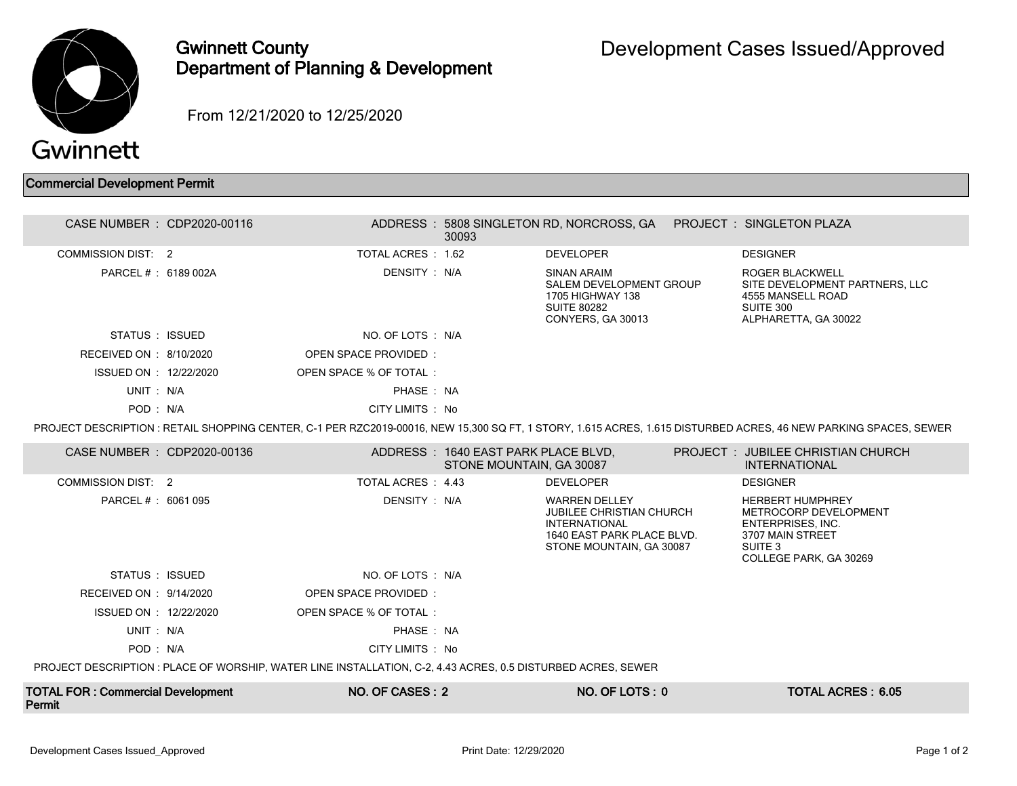

## Gwinnett County Department of Planning & Development

From 12/21/2020 to 12/25/2020

## Commercial Development Permit

| CASE NUMBER : CDP2020-00116                                                                                                                                      |  |                             | 30093                                                           | ADDRESS: 5808 SINGLETON RD, NORCROSS, GA PROJECT: SINGLETON PLAZA                                                                         |  |                                                                                                                                |  |  |  |
|------------------------------------------------------------------------------------------------------------------------------------------------------------------|--|-----------------------------|-----------------------------------------------------------------|-------------------------------------------------------------------------------------------------------------------------------------------|--|--------------------------------------------------------------------------------------------------------------------------------|--|--|--|
| <b>COMMISSION DIST: 2</b>                                                                                                                                        |  | TOTAL ACRES: 1.62           |                                                                 | <b>DEVELOPER</b>                                                                                                                          |  | <b>DESIGNER</b>                                                                                                                |  |  |  |
| PARCEL # : 6189 002A                                                                                                                                             |  | DENSITY: N/A                |                                                                 | <b>SINAN ARAIM</b><br>SALEM DEVELOPMENT GROUP<br>1705 HIGHWAY 138<br><b>SUITE 80282</b><br>CONYERS, GA 30013                              |  | <b>ROGER BLACKWELL</b><br>SITE DEVELOPMENT PARTNERS. LLC<br>4555 MANSELL ROAD<br>SUITE 300<br>ALPHARETTA, GA 30022             |  |  |  |
| STATUS : ISSUED                                                                                                                                                  |  | NO. OF LOTS : N/A           |                                                                 |                                                                                                                                           |  |                                                                                                                                |  |  |  |
| RECEIVED ON : 8/10/2020                                                                                                                                          |  | OPEN SPACE PROVIDED:        |                                                                 |                                                                                                                                           |  |                                                                                                                                |  |  |  |
| ISSUED ON : 12/22/2020                                                                                                                                           |  | OPEN SPACE % OF TOTAL:      |                                                                 |                                                                                                                                           |  |                                                                                                                                |  |  |  |
| UNIT: N/A                                                                                                                                                        |  | PHASE: NA                   |                                                                 |                                                                                                                                           |  |                                                                                                                                |  |  |  |
| POD: N/A                                                                                                                                                         |  | CITY LIMITS : No            |                                                                 |                                                                                                                                           |  |                                                                                                                                |  |  |  |
| PROJECT DESCRIPTION : RETAIL SHOPPING CENTER, C-1 PER RZC2019-00016, NEW 15,300 SQ FT, 1 STORY, 1.615 ACRES, 1.615 DISTURBED ACRES, 46 NEW PARKING SPACES, SEWER |  |                             |                                                                 |                                                                                                                                           |  |                                                                                                                                |  |  |  |
| CASE NUMBER : CDP2020-00136                                                                                                                                      |  |                             | ADDRESS: 1640 EAST PARK PLACE BLVD,<br>STONE MOUNTAIN, GA 30087 |                                                                                                                                           |  | PROJECT : JUBILEE CHRISTIAN CHURCH<br><b>INTERNATIONAL</b>                                                                     |  |  |  |
| <b>COMMISSION DIST: 2</b>                                                                                                                                        |  | TOTAL ACRES : 4.43          |                                                                 | <b>DEVELOPER</b>                                                                                                                          |  | <b>DESIGNER</b>                                                                                                                |  |  |  |
| PARCEL # : 6061 095                                                                                                                                              |  | DENSITY : N/A               |                                                                 | <b>WARREN DELLEY</b><br><b>JUBILEE CHRISTIAN CHURCH</b><br><b>INTERNATIONAL</b><br>1640 EAST PARK PLACE BLVD.<br>STONE MOUNTAIN, GA 30087 |  | <b>HERBERT HUMPHREY</b><br>METROCORP DEVELOPMENT<br>ENTERPRISES, INC.<br>3707 MAIN STREET<br>SUITE 3<br>COLLEGE PARK, GA 30269 |  |  |  |
| STATUS : ISSUED                                                                                                                                                  |  | NO. OF LOTS: N/A            |                                                                 |                                                                                                                                           |  |                                                                                                                                |  |  |  |
| RECEIVED ON : 9/14/2020                                                                                                                                          |  | <b>OPEN SPACE PROVIDED:</b> |                                                                 |                                                                                                                                           |  |                                                                                                                                |  |  |  |
| ISSUED ON : 12/22/2020                                                                                                                                           |  | OPEN SPACE % OF TOTAL:      |                                                                 |                                                                                                                                           |  |                                                                                                                                |  |  |  |
| UNIT: N/A                                                                                                                                                        |  | PHASE: NA                   |                                                                 |                                                                                                                                           |  |                                                                                                                                |  |  |  |
| POD: N/A                                                                                                                                                         |  | CITY LIMITS : No            |                                                                 |                                                                                                                                           |  |                                                                                                                                |  |  |  |
| PROJECT DESCRIPTION : PLACE OF WORSHIP, WATER LINE INSTALLATION, C-2, 4.43 ACRES, 0.5 DISTURBED ACRES, SEWER                                                     |  |                             |                                                                 |                                                                                                                                           |  |                                                                                                                                |  |  |  |
| <b>TOTAL FOR: Commercial Development</b>                                                                                                                         |  | NO. OF CASES: 2             |                                                                 | NO. OF LOTS: 0                                                                                                                            |  | <b>TOTAL ACRES: 6.05</b>                                                                                                       |  |  |  |

Permit